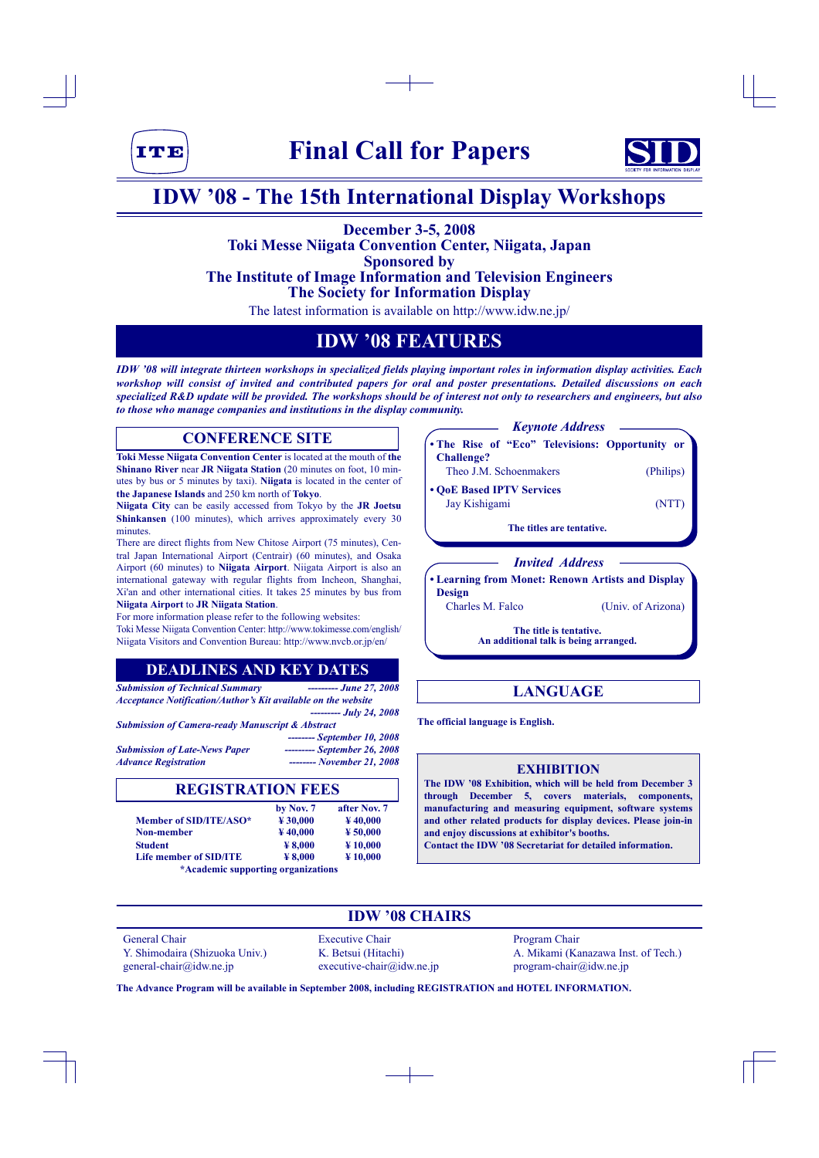



# **IDW '08 - The 15th International Display Workshops**

# **December 3-5, 2008 Toki Messe Niigata Convention Center, Niigata, Japan Sponsored by The Institute of Image Information and Television Engineers**

**The Society for Information Display**

The latest information is available on http://www.idw.ne.jp/

# **IDW '08 FEATURES**

*IDW '08 will integrate thirteen workshops in specialized fields playing important roles in information display activities. Each workshop will consist of invited and contributed papers for oral and poster presentations. Detailed discussions on each specialized R&D update will be provided. The workshops should be of interest not only to researchers and engineers, but also to those who manage companies and institutions in the display community.*

# **CONFERENCE SITE**

**Toki Messe Niigata Convention Center** is located at the mouth of **the Shinano River** near **JR Niigata Station** (20 minutes on foot, 10 minutes by bus or 5 minutes by taxi). **Niigata** is located in the center of **the Japanese Islands** and 250 km north of **Tokyo**.

**Niigata City** can be easily accessed from Tokyo by the **JR Joetsu Shinkansen** (100 minutes), which arrives approximately every 30 minutes.

There are direct flights from New Chitose Airport (75 minutes), Central Japan International Airport (Centrair) (60 minutes), and Osaka Airport (60 minutes) to **Niigata Airport**. Niigata Airport is also an international gateway with regular flights from Incheon, Shanghai, Xi'an and other international cities. It takes 25 minutes by bus from **Niigata Airport** to **JR Niigata Station**.

For more information please refer to the following websites:

Toki Messe Niigata Convention Center: http://www.tokimesse.com/english/ Niigata Visitors and Convention Bureau: http://www.nvcb.or.jp/en/

# **DEADLINES AND KEY DATES**

*Submission of Technical Summary --------- June 27, 2008 Acceptance Notification/Author's Kit available on the website --------- July 24, 2008 Submission of Camera-ready Manuscript & Abstract -------- September 10, 2008*

| <b>Submission of Late-News Paper</b> | --------- September 26, 2008 |
|--------------------------------------|------------------------------|
| <b>Advance Registration</b>          | -------- November 21, 2008   |

## **REGISTRATION FEES**

|                                    | by Nov. 7           | after Nov. 7        |  |  |
|------------------------------------|---------------------|---------------------|--|--|
| Member of SID/ITE/ASO*             | $*30,000$           | $\frac{1}{2}40,000$ |  |  |
| <b>Non-member</b>                  | $\frac{1}{2}40,000$ | $*50,000$           |  |  |
| <b>Student</b>                     | $¥$ 8.000           | $*10,000$           |  |  |
| Life member of SID/ITE             | $¥$ 8.000           | $*10,000$           |  |  |
| *Academic supporting organizations |                     |                     |  |  |



**• Learning from Monet: Renown Artists and Display Design**

Charles M. Falco (Univ. of Arizona)

**The title is tentative. An additional talk is being arranged.**

# **LANGUAGE**

**The official language is English.**

## **EXHIBITION**

**The IDW '08 Exhibition, which will be held from December 3 through December 5, covers materials, components, manufacturing and measuring equipment, software systems and other related products for display devices. Please join-in and enjoy discussions at exhibitor's booths. Contact the IDW '08 Secretariat for detailed information.**

# **IDW '08 CHAIRS**

General Chair **Executive Chair** Program Chair general-chair@idw.ne.jp executive-chair@idw.ne.jp program-chair@idw.ne.jp

Y. Shimodaira (Shizuoka Univ.) K. Betsui (Hitachi) A. Mikami (Kanazawa Inst. of Tech.)

**The Advance Program will be available in September 2008, including REGISTRATION and HOTEL INFORMATION.**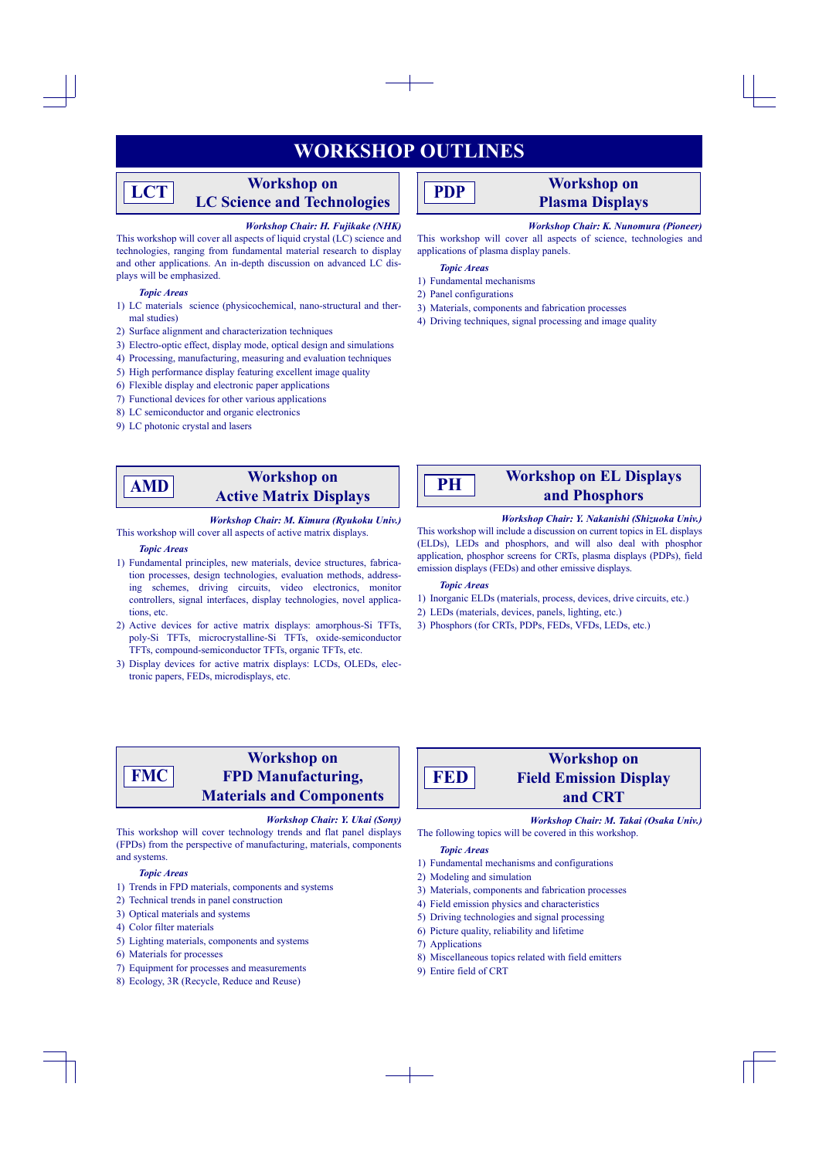# **WORKSHOP OUTLINES**

# **Workshop on LC Science and Technologies**

### *Workshop Chair: H. Fujikake (NHK)*

This workshop will cover all aspects of liquid crystal (LC) science and technologies, ranging from fundamental material research to display and other applications. An in-depth discussion on advanced LC displays will be emphasized.

### *Topic Areas*

**LCT**

- 1) LC materials science (physicochemical, nano-structural and thermal studies)
- 2) Surface alignment and characterization techniques
- 3) Electro-optic effect, display mode, optical design and simulations
- 4) Processing, manufacturing, measuring and evaluation techniques
- 5) High performance display featuring excellent image quality
- 6) Flexible display and electronic paper applications
- 7) Functional devices for other various applications
- 8) LC semiconductor and organic electronics
- 9) LC photonic crystal and lasers

# **PDP**

# **Workshop on Plasma Displays**

### *Workshop Chair: K. Nunomura (Pioneer)*

This workshop will cover all aspects of science, technologies and applications of plasma display panels.

#### *Topic Areas*

- 1) Fundamental mechanisms
- 2) Panel configurations
- 3) Materials, components and fabrication processes
- 4) Driving techniques, signal processing and image quality

# **AMD**

# **Workshop on Active Matrix Displays**

#### *Workshop Chair: M. Kimura (Ryukoku Univ.)* This workshop will cover all aspects of active matrix displays.

## *Topic Areas*

- 1) Fundamental principles, new materials, device structures, fabrication processes, design technologies, evaluation methods, addressing schemes, driving circuits, video electronics, monitor controllers, signal interfaces, display technologies, novel applications, etc.
- 2) Active devices for active matrix displays: amorphous-Si TFTs, poly-Si TFTs, microcrystalline-Si TFTs, oxide-semiconductor TFTs, compound-semiconductor TFTs, organic TFTs, etc.
- 3) Display devices for active matrix displays: LCDs, OLEDs, electronic papers, FEDs, microdisplays, etc.

**PH**

# **Workshop on EL Displays and Phosphors**

# *Workshop Chair: Y. Nakanishi (Shizuoka Univ.)*

This workshop will include a discussion on current topics in EL displays (ELDs), LEDs and phosphors, and will also deal with phosphor application, phosphor screens for CRTs, plasma displays (PDPs), field emission displays (FEDs) and other emissive displays.

### *Topic Areas*

- 1) Inorganic ELDs (materials, process, devices, drive circuits, etc.)
- 2) LEDs (materials, devices, panels, lighting, etc.)
- 3) Phosphors (for CRTs, PDPs, FEDs, VFDs, LEDs, etc.)

## **Workshop on FPD Manufacturing, Materials and Components FMC**

### *Workshop Chair: Y. Ukai (Sony)*

This workshop will cover technology trends and flat panel displays (FPDs) from the perspective of manufacturing, materials, components and systems.

#### *Topic Areas*

- 1) Trends in FPD materials, components and systems
- 2) Technical trends in panel construction
- 3) Optical materials and systems
- 4) Color filter materials
- 5) Lighting materials, components and systems
- 6) Materials for processes
- 7) Equipment for processes and measurements
- 8) Ecology, 3R (Recycle, Reduce and Reuse)

# **Workshop on Field Emission Display FED**

### *Workshop Chair: M. Takai (Osaka Univ.)*

**and CRT**

The following topics will be covered in this workshop.

### *Topic Areas*

- 1) Fundamental mechanisms and configurations
- 2) Modeling and simulation
- 3) Materials, components and fabrication processes
- 4) Field emission physics and characteristics
- 5) Driving technologies and signal processing
- 6) Picture quality, reliability and lifetime
- 7) Applications
- 8) Miscellaneous topics related with field emitters
- 9) Entire field of CRT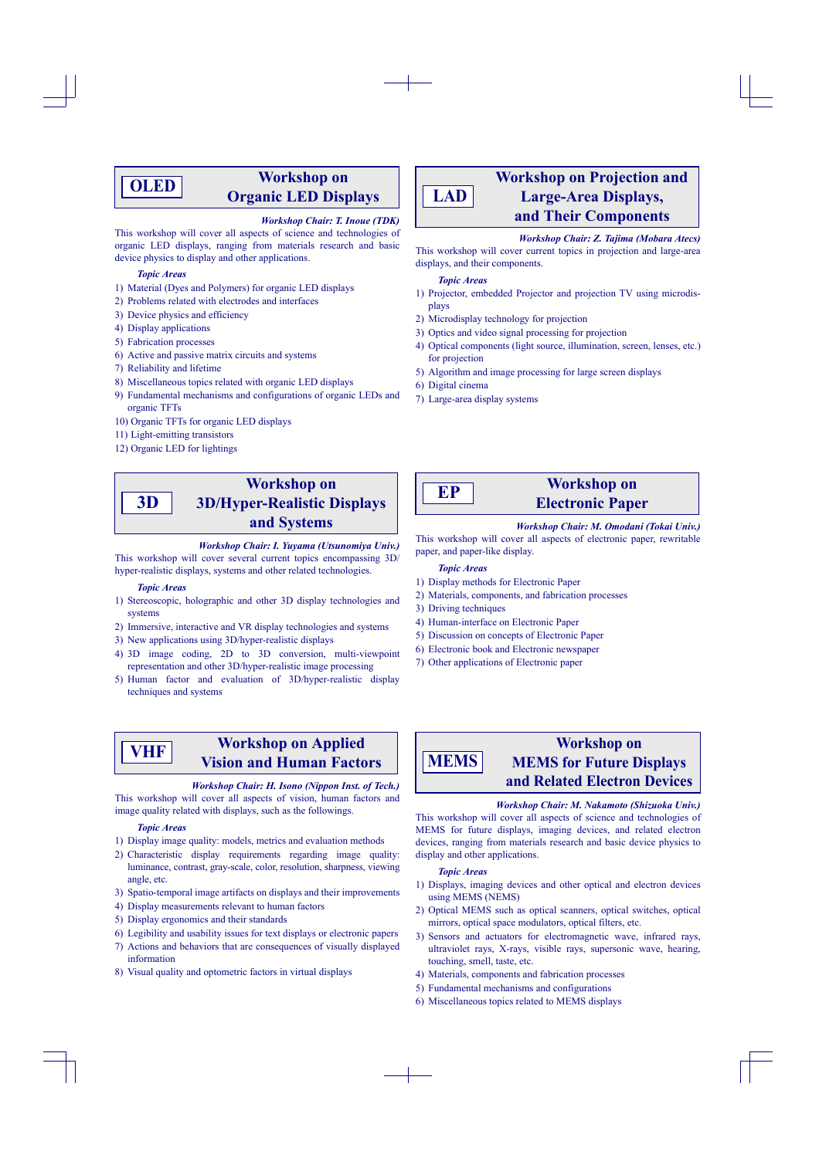# **OLED**

# **Workshop on Organic LED Displays**

## *Workshop Chair: T. Inoue (TDK)*

This workshop will cover all aspects of science and technologies of organic LED displays, ranging from materials research and basic device physics to display and other applications.

### *Topic Areas*

- 1) Material (Dyes and Polymers) for organic LED displays
- 2) Problems related with electrodes and interfaces
- 3) Device physics and efficiency
- 4) Display applications
- 5) Fabrication processes
- 6) Active and passive matrix circuits and systems
- 7) Reliability and lifetime
- 8) Miscellaneous topics related with organic LED displays
- 9) Fundamental mechanisms and configurations of organic LEDs and organic TFTs
- 10) Organic TFTs for organic LED displays
- 11) Light-emitting transistors
- 12) Organic LED for lightings

## **Workshop on 3D/Hyper-Realistic Displays and Systems 3D**

### *Workshop Chair: I. Yuyama (Utsunomiya Univ.)*

This workshop will cover several current topics encompassing 3D/ hyper-realistic displays, systems and other related technologies.

#### *Topic Areas*

- 1) Stereoscopic, holographic and other 3D display technologies and systems
- 2) Immersive, interactive and VR display technologies and systems
- 3) New applications using 3D/hyper-realistic displays
- 4) 3D image coding, 2D to 3D conversion, multi-viewpoint representation and other 3D/hyper-realistic image processing
- 5) Human factor and evaluation of 3D/hyper-realistic display techniques and systems

# **VHF**

# **Workshop on Applied Vision and Human Factors**

### *Workshop Chair: H. Isono (Nippon Inst. of Tech.)*

This workshop will cover all aspects of vision, human factors and image quality related with displays, such as the followings.

### *Topic Areas*

- 1) Display image quality: models, metrics and evaluation methods
- 2) Characteristic display requirements regarding image quality: luminance, contrast, gray-scale, color, resolution, sharpness, viewing angle, etc.
- 3) Spatio-temporal image artifacts on displays and their improvements
- 4) Display measurements relevant to human factors
- 5) Display ergonomics and their standards
- 6) Legibility and usability issues for text displays or electronic papers
- 7) Actions and behaviors that are consequences of visually displayed information
- 8) Visual quality and optometric factors in virtual displays

## **Workshop on Projection and Large-Area Displays, and Their Components LAD**

#### *Workshop Chair: Z. Tajima (Mobara Atecs)*

This workshop will cover current topics in projection and large-area displays, and their components.

### *Topic Areas*

- 1) Projector, embedded Projector and projection TV using microdisplays
- 2) Microdisplay technology for projection
- 3) Optics and video signal processing for projection
- 4) Optical components (light source, illumination, screen, lenses, etc.) for projection
- 5) Algorithm and image processing for large screen displays
- 6) Digital cinema
- 7) Large-area display systems
- **EP**

## **Workshop on Electronic Paper**

### *Workshop Chair: M. Omodani (Tokai Univ.)*

This workshop will cover all aspects of electronic paper, rewritable paper, and paper-like display.

#### *Topic Areas*

- 1) Display methods for Electronic Paper
- 2) Materials, components, and fabrication processes
- 3) Driving techniques
- 4) Human-interface on Electronic Paper
- 5) Discussion on concepts of Electronic Paper
- 6) Electronic book and Electronic newspaper
- 7) Other applications of Electronic paper



# **Workshop on MEMS for Future Displays and Related Electron Devices**

### *Workshop Chair: M. Nakamoto (Shizuoka Univ.)*

This workshop will cover all aspects of science and technologies of MEMS for future displays, imaging devices, and related electron devices, ranging from materials research and basic device physics to display and other applications.

### *Topic Areas*

- 1) Displays, imaging devices and other optical and electron devices using MEMS (NEMS)
- 2) Optical MEMS such as optical scanners, optical switches, optical mirrors, optical space modulators, optical filters, etc.
- 3) Sensors and actuators for electromagnetic wave, infrared rays, ultraviolet rays, X-rays, visible rays, supersonic wave, hearing, touching, smell, taste, etc.
- 4) Materials, components and fabrication processes
- 5) Fundamental mechanisms and configurations
- 6) Miscellaneous topics related to MEMS displays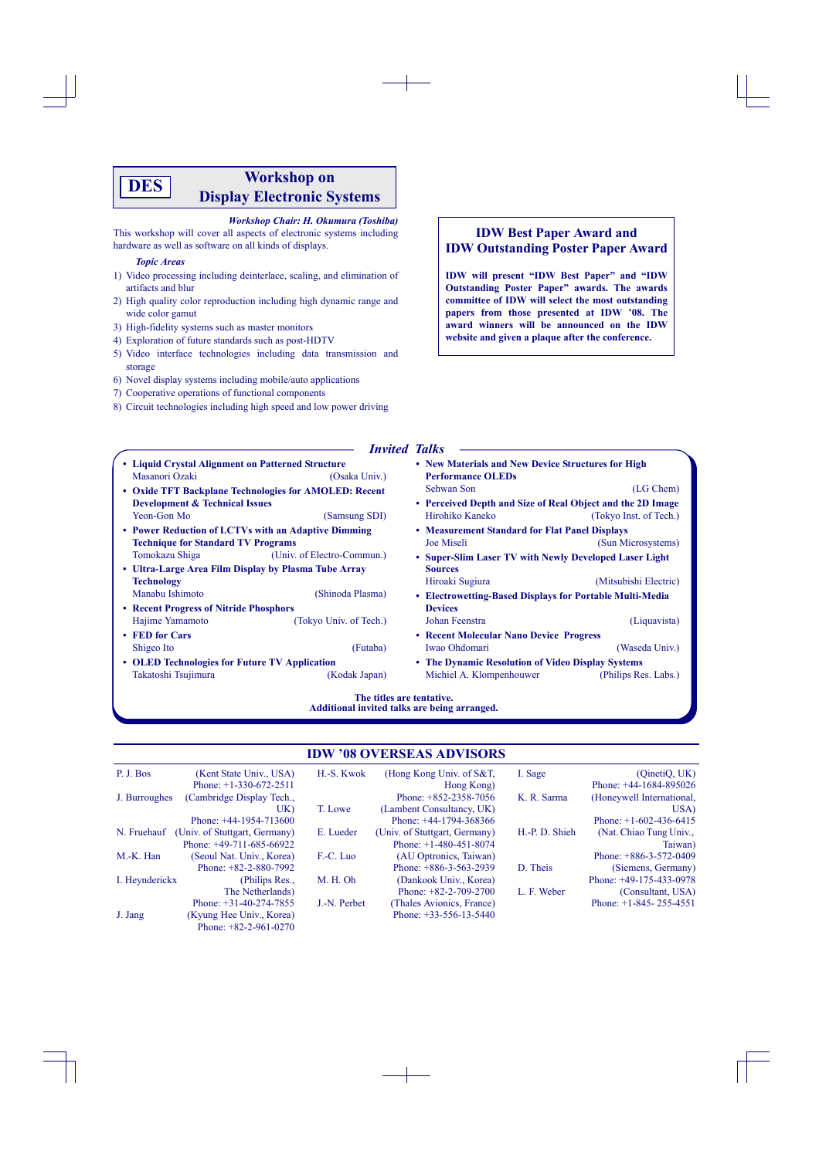# **Workshop on Display Electronic Systems DES**

## *Workshop Chair: H. Okumura (Toshiba)*

This workshop will cover all aspects of electronic systems including hardware as well as software on all kinds of displays.

### *Topic Areas*

- 1) Video processing including deinterlace, scaling, and elimination of artifacts and blur
- 2) High quality color reproduction including high dynamic range and wide color gamut
- 3) High-fidelity systems such as master monitors
- 4) Exploration of future standards such as post-HDTV
- 5) Video interface technologies including data transmission and storage
- 6) Novel display systems including mobile/auto applications
- 7) Cooperative operations of functional components
- 8) Circuit technologies including high speed and low power driving

## **IDW Best Paper Award and IDW Outstanding Poster Paper Award**

**IDW will present "IDW Best Paper" and "IDW Outstanding Poster Paper" awards. The awards committee of IDW will select the most outstanding papers from those presented at IDW '08. The award winners will be announced on the IDW website and given a plaque after the conference.**

## *Invited Talks*

| • Liquid Crystal Alignment on Patterned Structure     |                            | • New Materials and New Device Structures for High         |                        |  |  |
|-------------------------------------------------------|----------------------------|------------------------------------------------------------|------------------------|--|--|
| Masanori Ozaki                                        | (Osaka Univ.)              | <b>Performance OLEDs</b>                                   |                        |  |  |
| • Oxide TFT Backplane Technologies for AMOLED: Recent |                            | Sehwan Son                                                 | (LG Chem)              |  |  |
| <b>Development &amp; Technical Issues</b>             |                            | • Perceived Depth and Size of Real Object and the 2D Image |                        |  |  |
| Yeon-Gon Mo                                           | (Samsung SDI)              | Hirohiko Kaneko                                            | (Tokyo Inst. of Tech.) |  |  |
| • Power Reduction of LCTVs with an Adaptive Dimming   |                            | • Measurement Standard for Flat Panel Displays             |                        |  |  |
| <b>Technique for Standard TV Programs</b>             |                            | Joe Miseli                                                 | (Sun Microsystems)     |  |  |
| Tomokazu Shiga                                        | (Univ. of Electro-Commun.) | • Super-Slim Laser TV with Newly Developed Laser Light     |                        |  |  |
| • Ultra-Large Area Film Display by Plasma Tube Array  |                            | <b>Sources</b>                                             |                        |  |  |
| <b>Technology</b>                                     |                            | Hiroaki Sugiura                                            | (Mitsubishi Electric)  |  |  |
| Manabu Ishimoto                                       | (Shinoda Plasma)           | • Electrowetting-Based Displays for Portable Multi-Media   |                        |  |  |
| • Recent Progress of Nitride Phosphors                |                            | <b>Devices</b>                                             |                        |  |  |
| Hajime Yamamoto                                       | (Tokyo Univ. of Tech.)     | Johan Feenstra                                             | (Liquavista)           |  |  |
| • FED for Cars                                        |                            | • Recent Molecular Nano Device Progress                    |                        |  |  |
| Shigeo Ito                                            | (Futaba)                   | Iwao Ohdomari                                              | (Waseda Univ.)         |  |  |
| • OLED Technologies for Future TV Application         |                            | • The Dynamic Resolution of Video Display Systems          |                        |  |  |
| Takatoshi Tsujimura                                   | (Kodak Japan)              | Michiel A. Klompenhouwer                                   | (Philips Res. Labs.)   |  |  |
| The titles are tentative                              |                            |                                                            |                        |  |  |

**The titles are tentative. Additional invited talks are being arranged.**

## **IDW '08 OVERSEAS ADVISORS**

| P. J. Bos      | (Kent State Univ., USA)       | H.-S. Kwok   | (Hong Kong Univ. of $S&T$ ,   | I. Sage        | (QinetiQ, UK)             |
|----------------|-------------------------------|--------------|-------------------------------|----------------|---------------------------|
|                | Phone: $+1-330-672-2511$      |              | Hong Kong)                    |                | Phone: $+44-1684-895026$  |
| J. Burroughes  | (Cambridge Display Tech.,     |              | Phone: $+852-2358-7056$       | K. R. Sarma    | (Honeywell International, |
|                | UK)                           | T. Lowe      | (Lambent Consultancy, UK)     |                | USA)                      |
|                | Phone: $+44-1954-713600$      |              | Phone: $+44-1794-368366$      |                | Phone: $+1-602-436-6415$  |
| N. Fruehauf    | (Univ. of Stuttgart, Germany) | E. Lueder    | (Univ. of Stuttgart, Germany) | H.-P. D. Shieh | (Nat. Chiao Tung Univ.,   |
|                | Phone: $+49-711-685-66922$    |              | Phone: $+1-480-451-8074$      |                | Taiwan)                   |
| M.-K. Han      | (Seoul Nat. Univ., Korea)     | F.-C. Luo    | (AU Optronics, Taiwan)        |                | Phone: $+886-3-572-0409$  |
|                | Phone: $+82-2-880-7992$       |              | Phone: $+886-3-563-2939$      | D. Theis       | (Siemens, Germany)        |
| I. Heynderickx | (Philips Res.,                | M. H. Oh     | (Dankook Univ., Korea)        |                | Phone: $+49-175-433-0978$ |
|                | The Netherlands)              |              | Phone: $+82-2-709-2700$       | L. F. Weber    | (Consultant, USA)         |
|                | Phone: $+31-40-274-7855$      | J.-N. Perbet | (Thales Avionics, France)     |                | Phone: $+1-845-255-4551$  |
| J. Jang        | (Kyung Hee Univ., Korea)      |              | Phone: $+33-556-13-5440$      |                |                           |
|                | Phone: $+82-2-961-0270$       |              |                               |                |                           |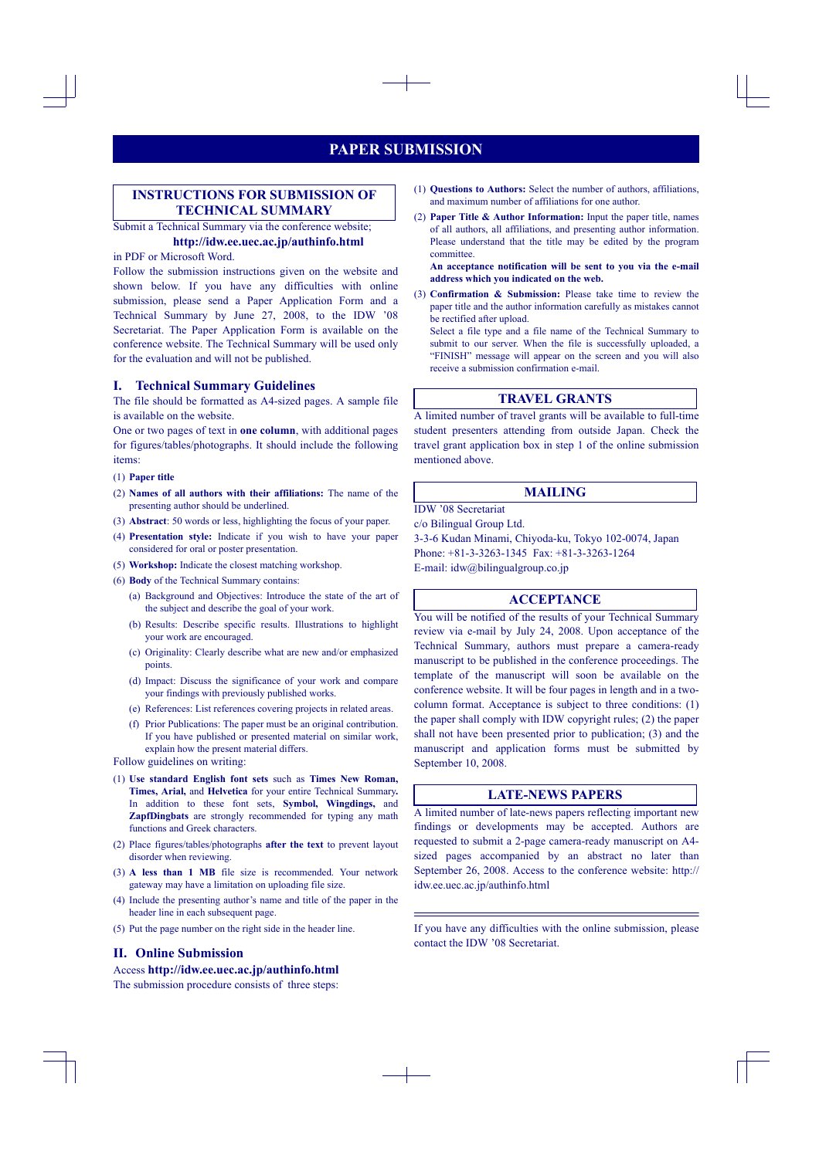# **PAPER SUBMISSION**

## **INSTRUCTIONS FOR SUBMISSION OF TECHNICAL SUMMARY**

Submit a Technical Summary via the conference website;

## **http://idw.ee.uec.ac.jp/authinfo.html**

## in PDF or Microsoft Word.

Follow the submission instructions given on the website and shown below. If you have any difficulties with online submission, please send a Paper Application Form and a Technical Summary by June 27, 2008, to the IDW '08 Secretariat. The Paper Application Form is available on the conference website. The Technical Summary will be used only for the evaluation and will not be published.

## **I. Technical Summary Guidelines**

The file should be formatted as A4-sized pages. A sample file is available on the website.

One or two pages of text in **one column**, with additional pages for figures/tables/photographs. It should include the following items:

#### (1) **Paper title**

- (2) **Names of all authors with their affiliations:** The name of the presenting author should be underlined.
- (3) **Abstract**: 50 words or less, highlighting the focus of your paper.
- (4) **Presentation style:** Indicate if you wish to have your paper considered for oral or poster presentation.
- (5) **Workshop:** Indicate the closest matching workshop.
- (6) **Body** of the Technical Summary contains:
	- (a) Background and Objectives: Introduce the state of the art of the subject and describe the goal of your work.
	- (b) Results: Describe specific results. Illustrations to highlight your work are encouraged.
	- (c) Originality: Clearly describe what are new and/or emphasized points.
	- (d) Impact: Discuss the significance of your work and compare your findings with previously published works.
	- (e) References: List references covering projects in related areas.
	- (f) Prior Publications: The paper must be an original contribution. If you have published or presented material on similar work, explain how the present material differs.

Follow guidelines on writing:

- (1) **Use standard English font sets** such as **Times New Roman, Times, Arial,** and **Helvetica** for your entire Technical Summary**.** In addition to these font sets, **Symbol, Wingdings,** and **ZapfDingbats** are strongly recommended for typing any math functions and Greek characters.
- (2) Place figures/tables/photographs **after the text** to prevent layout disorder when reviewing.
- (3) **A less than 1 MB** file size is recommended. Your network gateway may have a limitation on uploading file size.
- (4) Include the presenting author's name and title of the paper in the header line in each subsequent page.
- (5) Put the page number on the right side in the header line.

## **II. Online Submission**

### Access **http://idw.ee.uec.ac.jp/authinfo.html**

The submission procedure consists of three steps:

- (1) **Questions to Authors:** Select the number of authors, affiliations, and maximum number of affiliations for one author.
- (2) **Paper Title & Author Information:** Input the paper title, names of all authors, all affiliations, and presenting author information. Please understand that the title may be edited by the program committee.

**An acceptance notification will be sent to you via the e-mail address which you indicated on the web.**

(3) **Confirmation & Submission:** Please take time to review the paper title and the author information carefully as mistakes cannot be rectified after upload.

Select a file type and a file name of the Technical Summary to submit to our server. When the file is successfully uploaded, a "FINISH" message will appear on the screen and you will also receive a submission confirmation e-mail.

## **TRAVEL GRANTS**

A limited number of travel grants will be available to full-time student presenters attending from outside Japan. Check the travel grant application box in step 1 of the online submission mentioned above.

## **MAILING**

IDW '08 Secretariat

c/o Bilingual Group Ltd.

3-3-6 Kudan Minami, Chiyoda-ku, Tokyo 102-0074, Japan Phone: +81-3-3263-1345 Fax: +81-3-3263-1264 E-mail: idw@bilingualgroup.co.jp

## **ACCEPTANCE**

You will be notified of the results of your Technical Summary review via e-mail by July 24, 2008. Upon acceptance of the Technical Summary, authors must prepare a camera-ready manuscript to be published in the conference proceedings. The template of the manuscript will soon be available on the conference website. It will be four pages in length and in a twocolumn format. Acceptance is subject to three conditions: (1) the paper shall comply with IDW copyright rules; (2) the paper shall not have been presented prior to publication; (3) and the manuscript and application forms must be submitted by September 10, 2008.

## **LATE-NEWS PAPERS**

A limited number of late-news papers reflecting important new findings or developments may be accepted. Authors are requested to submit a 2-page camera-ready manuscript on A4 sized pages accompanied by an abstract no later than September 26, 2008. Access to the conference website: http:// idw.ee.uec.ac.jp/authinfo.html

If you have any difficulties with the online submission, please contact the IDW '08 Secretariat.